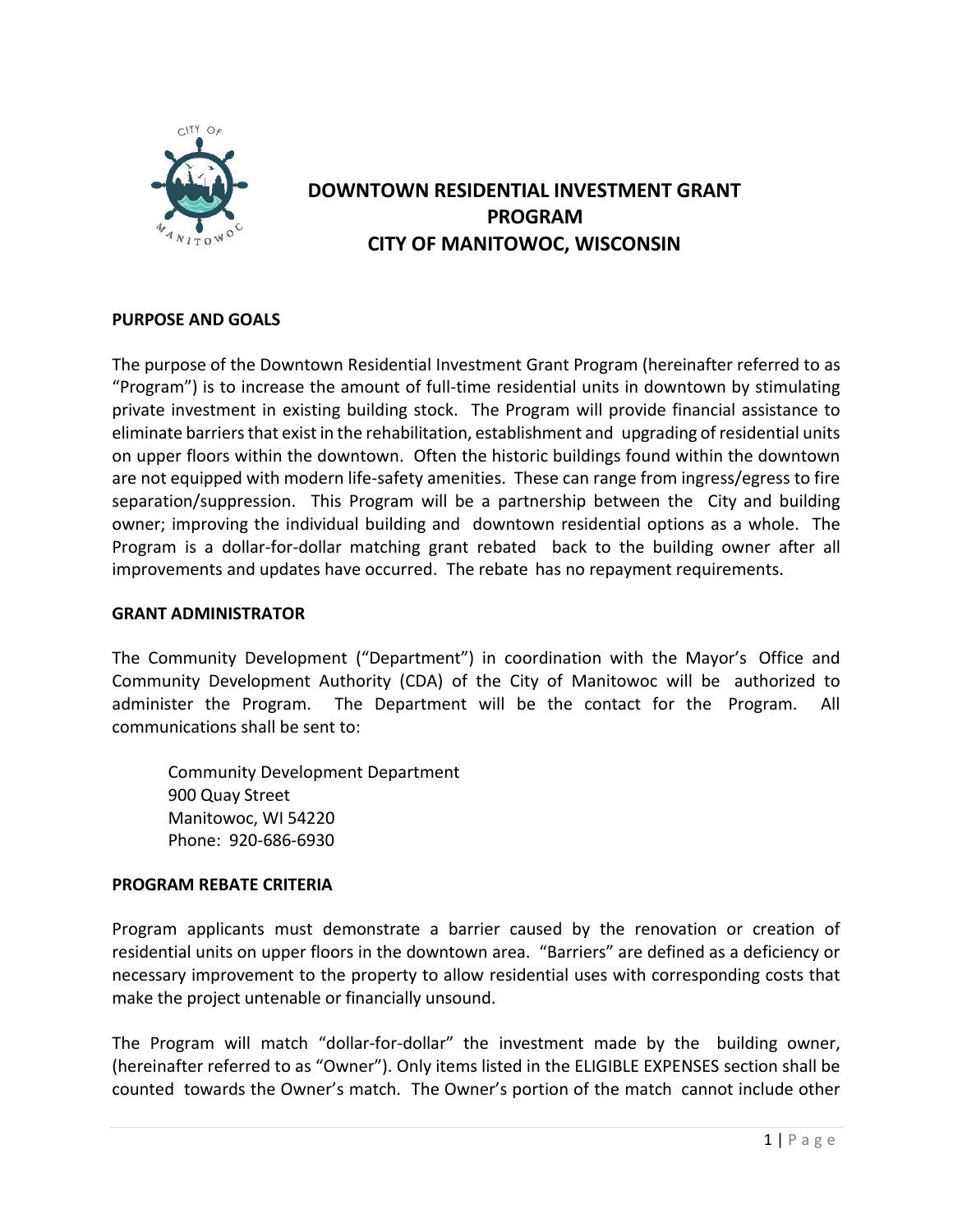

# **DOWNTOWN RESIDENTIAL INVESTMENT GRANT PROGRAM CITY OF MANITOWOC, WISCONSIN**

# **PURPOSE AND GOALS**

The purpose of the Downtown Residential Investment Grant Program (hereinafter referred to as "Program") is to increase the amount of full-time residential units in downtown by stimulating private investment in existing building stock. The Program will provide financial assistance to eliminate barriers that exist in the rehabilitation, establishment and upgrading of residential units on upper floors within the downtown. Often the historic buildings found within the downtown are not equipped with modern life-safety amenities. These can range from ingress/egress to fire separation/suppression. This Program will be a partnership between the City and building owner; improving the individual building and downtown residential options as a whole. The Program is a dollar-for-dollar matching grant rebated back to the building owner after all improvements and updates have occurred. The rebate has no repayment requirements.

#### **GRANT ADMINISTRATOR**

The Community Development ("Department") in coordination with the Mayor's Office and Community Development Authority (CDA) of the City of Manitowoc will be authorized to administer the Program. The Department will be the contact for the Program. All communications shall be sent to:

Community Development Department 900 Quay Street Manitowoc, WI 54220 Phone: 920-686-6930

# **PROGRAM REBATE CRITERIA**

Program applicants must demonstrate a barrier caused by the renovation or creation of residential units on upper floors in the downtown area. "Barriers" are defined as a deficiency or necessary improvement to the property to allow residential uses with corresponding costs that make the project untenable or financially unsound.

The Program will match "dollar-for-dollar" the investment made by the building owner, (hereinafter referred to as "Owner"). Only items listed in the ELIGIBLE EXPENSES section shall be counted towards the Owner's match. The Owner's portion of the match cannot include other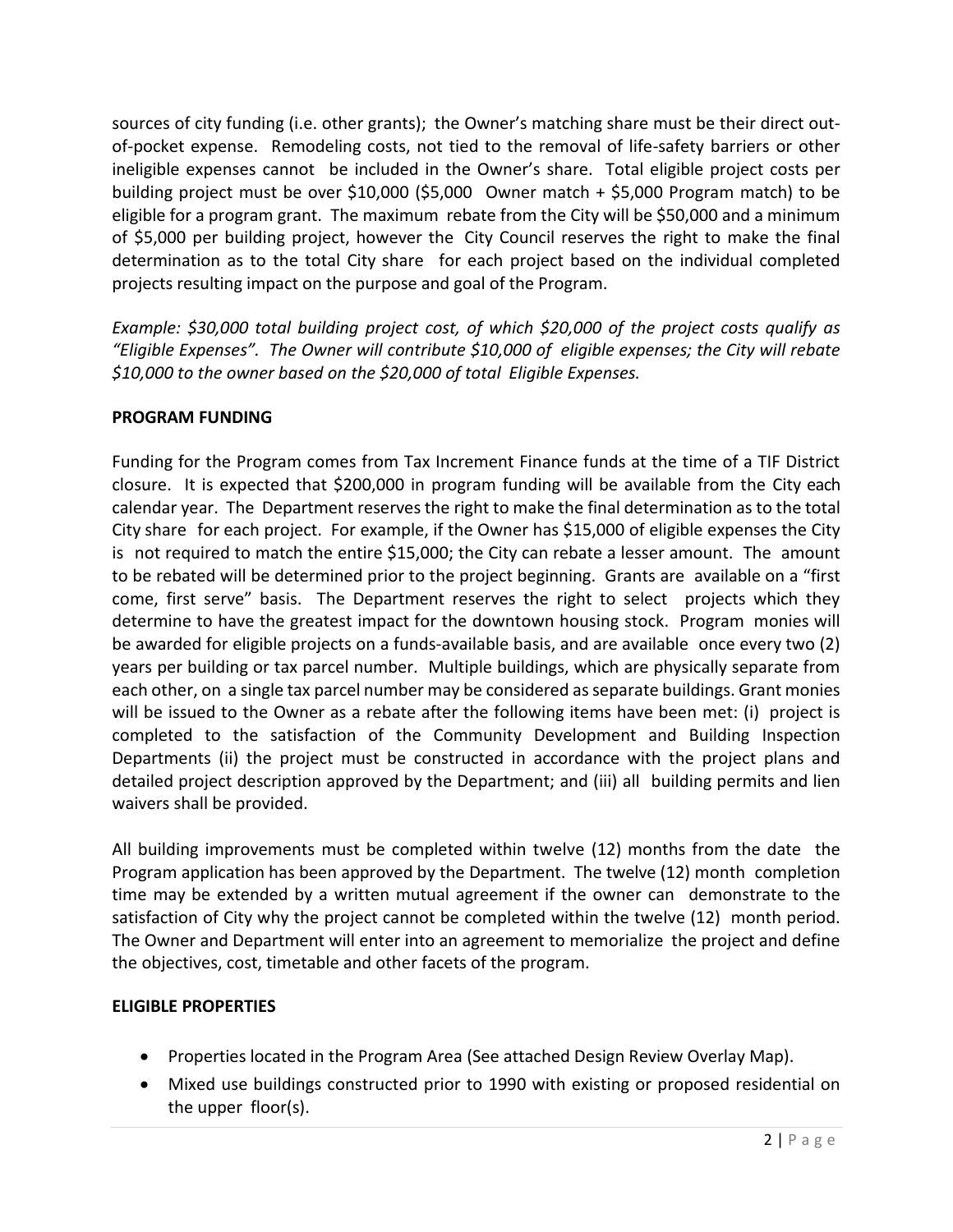sources of city funding (i.e. other grants); the Owner's matching share must be their direct outof-pocket expense. Remodeling costs, not tied to the removal of life-safety barriers or other ineligible expenses cannot be included in the Owner's share. Total eligible project costs per building project must be over \$10,000 (\$5,000 Owner match + \$5,000 Program match) to be eligible for a program grant. The maximum rebate from the City will be \$50,000 and a minimum of \$5,000 per building project, however the City Council reserves the right to make the final determination as to the total City share for each project based on the individual completed projects resulting impact on the purpose and goal of the Program.

*Example: \$30,000 total building project cost, of which \$20,000 of the project costs qualify as "Eligible Expenses". The Owner will contribute \$10,000 of eligible expenses; the City will rebate \$10,000 to the owner based on the \$20,000 of total Eligible Expenses.*

# **PROGRAM FUNDING**

Funding for the Program comes from Tax Increment Finance funds at the time of a TIF District closure. It is expected that \$200,000 in program funding will be available from the City each calendar year. The Department reserves the right to make the final determination as to the total City share for each project. For example, if the Owner has \$15,000 of eligible expenses the City is not required to match the entire \$15,000; the City can rebate a lesser amount. The amount to be rebated will be determined prior to the project beginning. Grants are available on a "first come, first serve" basis. The Department reserves the right to select projects which they determine to have the greatest impact for the downtown housing stock. Program monies will be awarded for eligible projects on a funds-available basis, and are available once every two (2) years per building or tax parcel number. Multiple buildings, which are physically separate from each other, on a single tax parcel number may be considered asseparate buildings. Grant monies will be issued to the Owner as a rebate after the following items have been met: (i) project is completed to the satisfaction of the Community Development and Building Inspection Departments (ii) the project must be constructed in accordance with the project plans and detailed project description approved by the Department; and (iii) all building permits and lien waivers shall be provided.

All building improvements must be completed within twelve (12) months from the date the Program application has been approved by the Department. The twelve (12) month completion time may be extended by a written mutual agreement if the owner can demonstrate to the satisfaction of City why the project cannot be completed within the twelve (12) month period. The Owner and Department will enter into an agreement to memorialize the project and define the objectives, cost, timetable and other facets of the program.

# **ELIGIBLE PROPERTIES**

- Properties located in the Program Area (See attached Design Review Overlay Map).
- Mixed use buildings constructed prior to 1990 with existing or proposed residential on the upper floor(s).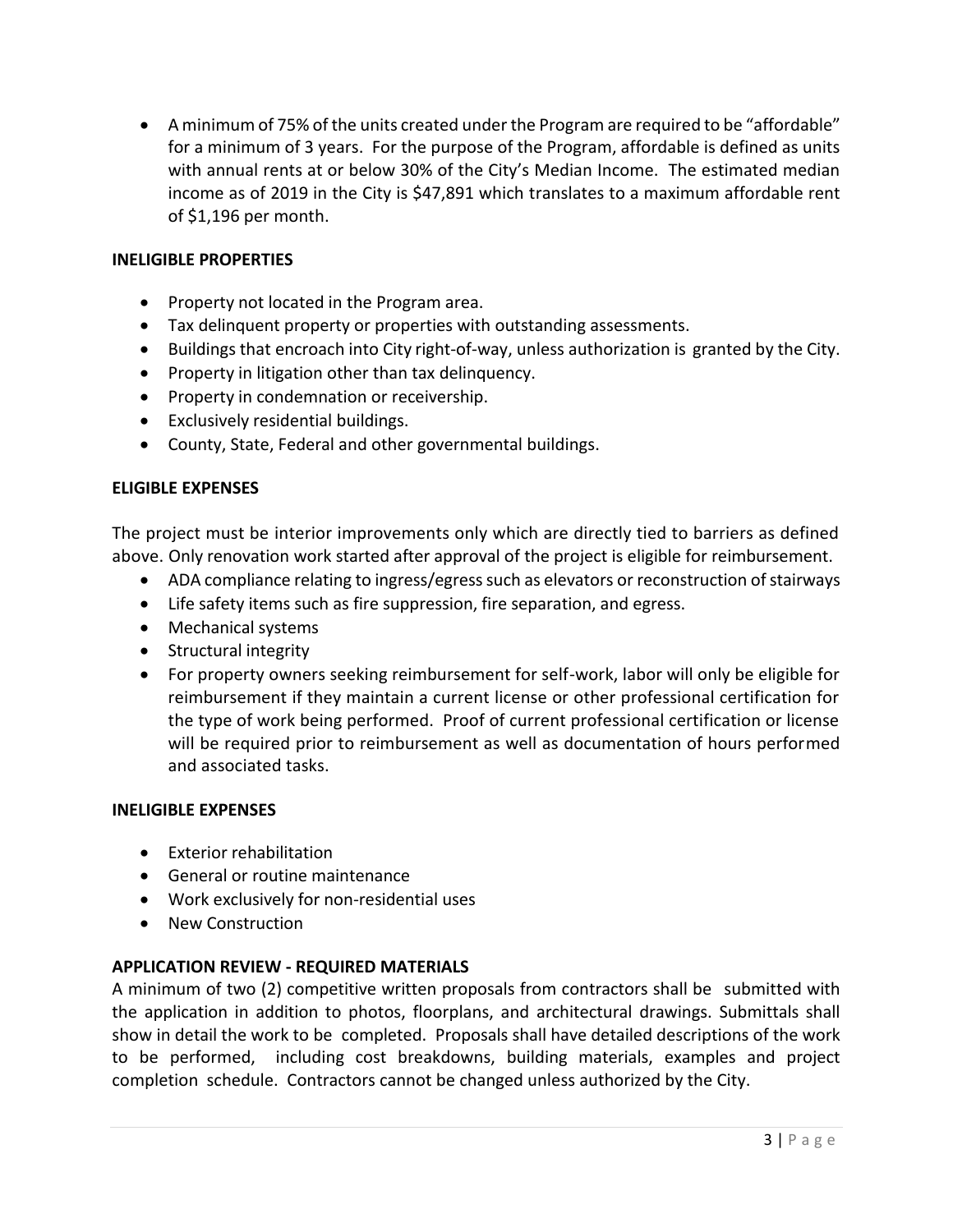• A minimum of 75% of the units created under the Program are required to be "affordable" for a minimum of 3 years. For the purpose of the Program, affordable is defined as units with annual rents at or below 30% of the City's Median Income. The estimated median income as of 2019 in the City is \$47,891 which translates to a maximum affordable rent of \$1,196 per month.

# **INELIGIBLE PROPERTIES**

- Property not located in the Program area.
- Tax delinquent property or properties with outstanding assessments.
- Buildings that encroach into City right-of-way, unless authorization is granted by the City.
- Property in litigation other than tax delinquency.
- Property in condemnation or receivership.
- Exclusively residential buildings.
- County, State, Federal and other governmental buildings.

# **ELIGIBLE EXPENSES**

The project must be interior improvements only which are directly tied to barriers as defined above. Only renovation work started after approval of the project is eligible for reimbursement.

- ADA compliance relating to ingress/egress such as elevators or reconstruction of stairways
- Life safety items such as fire suppression, fire separation, and egress.
- Mechanical systems
- Structural integrity
- For property owners seeking reimbursement for self-work, labor will only be eligible for reimbursement if they maintain a current license or other professional certification for the type of work being performed. Proof of current professional certification or license will be required prior to reimbursement as well as documentation of hours performed and associated tasks.

#### **INELIGIBLE EXPENSES**

- Exterior rehabilitation
- General or routine maintenance
- Work exclusively for non-residential uses
- New Construction

# **APPLICATION REVIEW - REQUIRED MATERIALS**

A minimum of two (2) competitive written proposals from contractors shall be submitted with the application in addition to photos, floorplans, and architectural drawings. Submittals shall show in detail the work to be completed. Proposals shall have detailed descriptions of the work to be performed, including cost breakdowns, building materials, examples and project completion schedule. Contractors cannot be changed unless authorized by the City.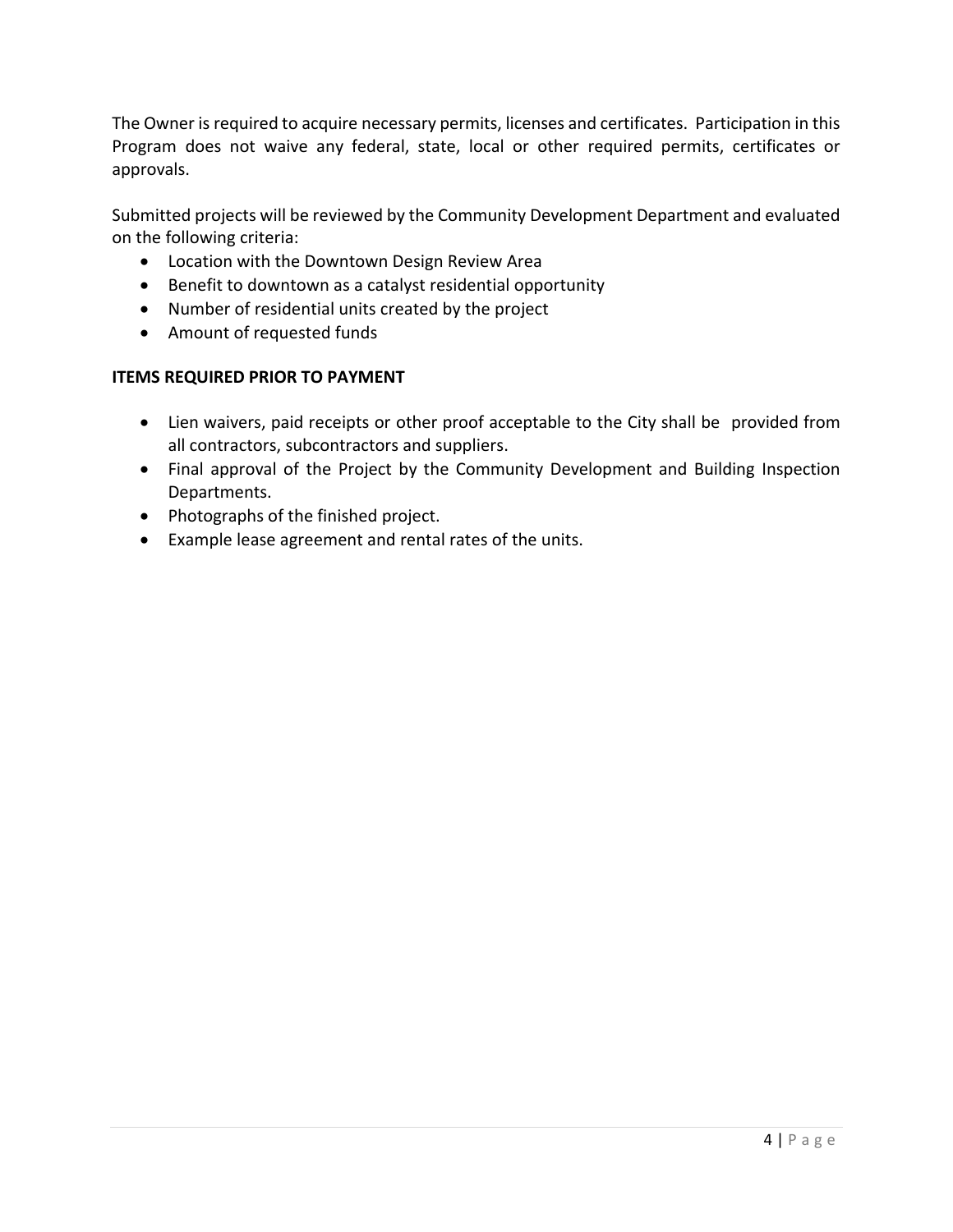The Owner is required to acquire necessary permits, licenses and certificates. Participation in this Program does not waive any federal, state, local or other required permits, certificates or approvals.

Submitted projects will be reviewed by the Community Development Department and evaluated on the following criteria:

- Location with the Downtown Design Review Area
- Benefit to downtown as a catalyst residential opportunity
- Number of residential units created by the project
- Amount of requested funds

# **ITEMS REQUIRED PRIOR TO PAYMENT**

- Lien waivers, paid receipts or other proof acceptable to the City shall be provided from all contractors, subcontractors and suppliers.
- Final approval of the Project by the Community Development and Building Inspection Departments.
- Photographs of the finished project.
- Example lease agreement and rental rates of the units.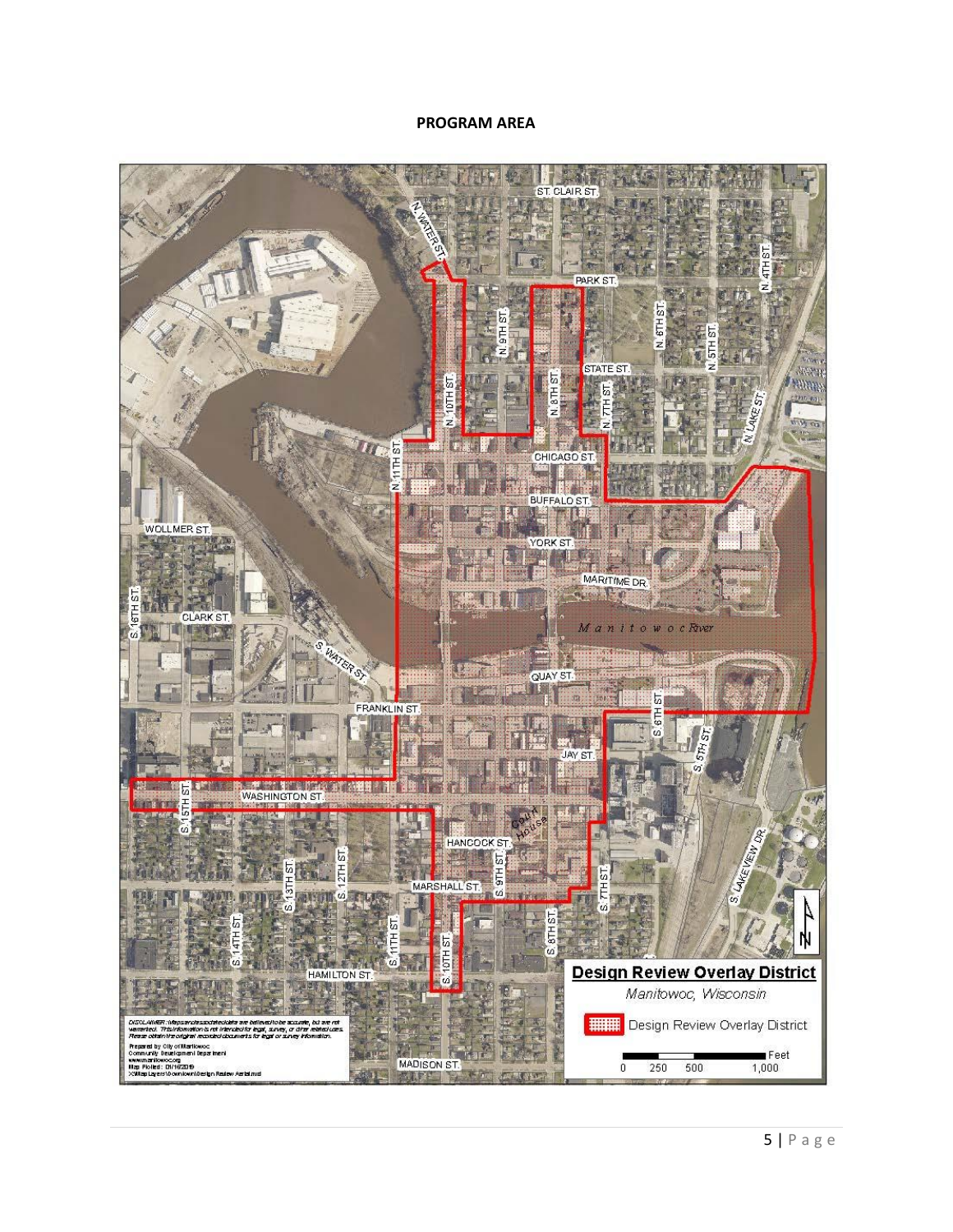#### **PROGRAM AREA**

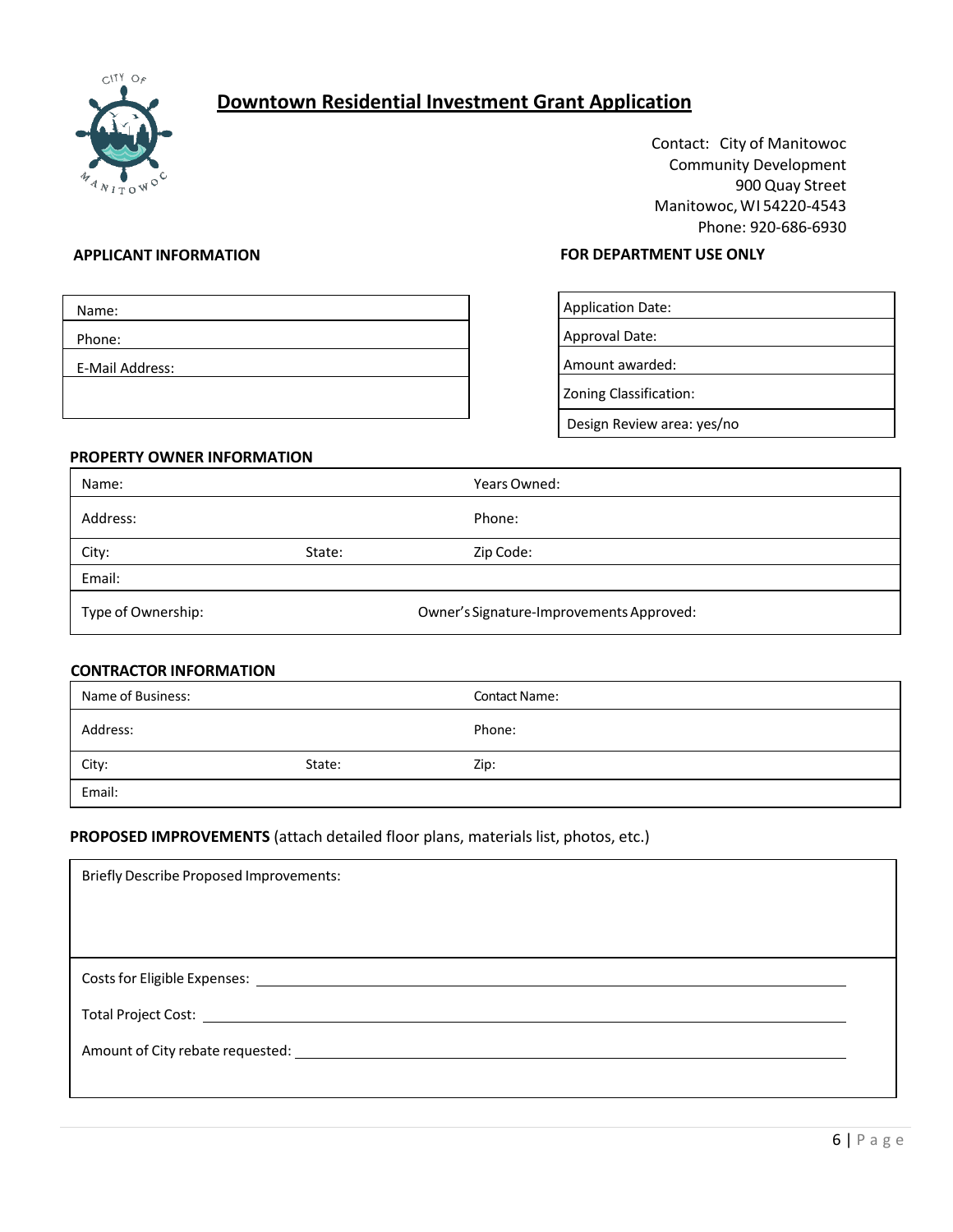

# **Downtown Residential Investment Grant Application**

Contact: City of Manitowoc Community Development 900 Quay Street Manitowoc,WI 54220-4543 Phone: 920-686-6930

| Name:           |  |  |
|-----------------|--|--|
| Phone:          |  |  |
| E-Mail Address: |  |  |
|                 |  |  |
|                 |  |  |

#### **APPLICANT INFORMATION FOR DEPARTMENT USE ONLY**

| <b>Application Date:</b>   |  |
|----------------------------|--|
| Approval Date:             |  |
| Amount awarded:            |  |
| Zoning Classification:     |  |
| Design Review area: yes/no |  |

#### **PROPERTY OWNER INFORMATION**

| Name:              |                                          | Years Owned: |
|--------------------|------------------------------------------|--------------|
| Address:           |                                          | Phone:       |
| City:              | State:                                   | Zip Code:    |
| Email:             |                                          |              |
| Type of Ownership: | Owner's Signature-Improvements Approved: |              |

#### **CONTRACTOR INFORMATION**

| Name of Business: |        | <b>Contact Name:</b> |
|-------------------|--------|----------------------|
| Address:          |        | Phone:               |
| City:             | State: | Zip:                 |
| Email:            |        |                      |

#### **PROPOSED IMPROVEMENTS** (attach detailed floor plans, materials list, photos, etc.)

| <b>Briefly Describe Proposed Improvements:</b> |  |
|------------------------------------------------|--|
|                                                |  |
|                                                |  |
|                                                |  |
|                                                |  |
|                                                |  |
|                                                |  |